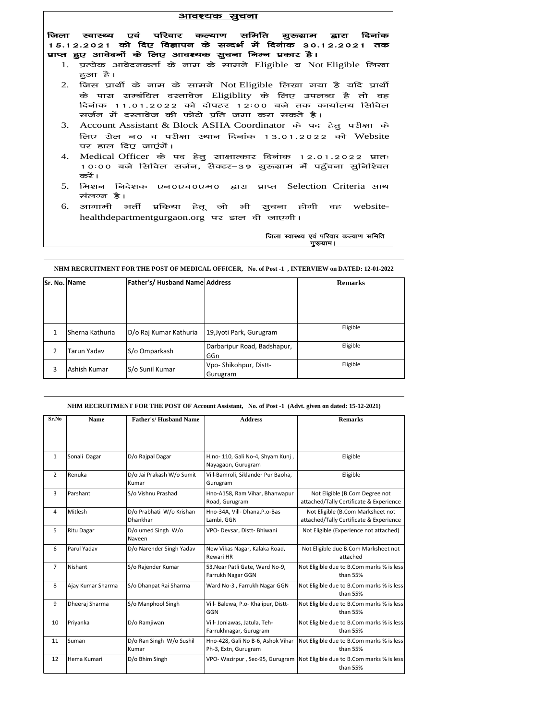## <u>आवश्यक सूचना</u>

जिला स्वास्थ्य एवं परिवार कल्याण समिति गुरूग्राम द्वारा दिनांक 15.12.2021 को दिए विज्ञापन के सन्दर्भ में दिनंाक 30.12.2021 तक प्राप्त हुए आवेदनों के लिए आवश्यक सुचना निम्न प्रकार है।

- $1.$  प्रत्येक आवेदनकर्ता के नाम के सामने Eligible व Not $\,$ Eligible लिखा हुआ है।
- 2. जिस प्रार्थी के नाम के सामने Not Eligible लिखा गया है यदि प्रार्थी के पास सम्बंधित दस्तावेज Eligiblity के लिए उपलब्ध है तो वह दिनांक 11.01.2022 को दोपहर 12:00 बजे तक कार्यालय सिविल रार्जन में दस्तावेज की फोटो प्रति जमा करा सकते है।
- 3. Account Assistant & Block ASHA Coordinator के पद हेतु परीक्षा के लिए रोल न $\sigma$  व परीक्षा स्थान दिनांक 13.01.2022 को Website पर डाल दिए जाएंगें।
- $4.$  Medical Officer के पद हेतु साक्षात्कार दिनांक 12.01.2022 प्रातः 10:00 बजे सिविल सर्जन, सैक्टर–39 गुरुग्राम में पहुँचना सुनिश्चित करें।
- 5. मिशन निदेशक एन0एच0एम0 द्वारा प्राप्त Selection Criteria साथ संलग्न है।
- .<br>6. आगामी भर्ती प्रकिया हेतू जो भी सुचना होगी वह websitehealthdepartmentgurgaon.org पर डाल दी जाएगी। भी सुचना होगी वह website-<br>ल दी जाएगी।<br>जिला स्वास्थ्य एवं परिवार कल्याण समिति<br>पुरूग्राम।

## जिला स्वास्थ्य एवं परिवार कल्याण समिति<br>www.arthuman.com

**NHM RECRUITMENT FOR THE POST OF MEDICAL OFFICER, No. of Post -1 , INTERVIEW on DATED: 12-01-2022**

| Sr. No. Name |                 | <b>Father's/ Husband Name Address</b> |                             | <b>Remarks</b> |
|--------------|-----------------|---------------------------------------|-----------------------------|----------------|
|              |                 |                                       |                             |                |
|              |                 |                                       |                             |                |
|              |                 |                                       |                             |                |
| 1            | Sherna Kathuria | D/o Raj Kumar Kathuria                | 19, Jyoti Park, Gurugram    | Eligible       |
|              |                 |                                       | Darbaripur Road, Badshapur, | Eligible       |
| 2            | Tarun Yadav     | S/o Omparkash                         | GGn                         |                |
| 3            | Ashish Kumar    | S/o Sunil Kumar                       | Vpo-Shikohpur, Distt-       | Eligible       |
|              |                 |                                       | Gurugram                    |                |

## **NHM RECRUITMENT FOR THE POST OF Account Assistant, No. of Post -1 (Advt. given on dated: 15-12-2021)**

| Sr.No          | <b>Name</b>       | <b>Father's/Husband Name</b>         | <b>Address</b>                                            | <b>Remarks</b>                                                               |
|----------------|-------------------|--------------------------------------|-----------------------------------------------------------|------------------------------------------------------------------------------|
|                |                   |                                      |                                                           |                                                                              |
| $\mathbf{1}$   | Sonali Dagar      | D/o Rajpal Dagar                     | H.no- 110, Gali No-4, Shyam Kunj,<br>Nayagaon, Gurugram   | Eligible                                                                     |
| 2              | Renuka            | D/o Jai Prakash W/o Sumit<br>Kumar   | Vill-Bamroli, Siklander Pur Baoha,<br>Gurugram            | Eligible                                                                     |
| 3              | Parshant          | S/o Vishnu Prashad                   | Hno-A158, Ram Vihar, Bhanwapur<br>Road, Gurugram          | Not Eligible (B.Com Degree not<br>attached/Tally Certificate & Experience    |
| 4              | Mitlesh           | D/o Prabhati W/o Krishan<br>Dhankhar | Hno-34A, Vill- Dhana, P.o-Bas<br>Lambi, GGN               | Not Eligible (B.Com Marksheet not<br>attached/Tally Certificate & Experience |
| 5              | <b>Ritu Dagar</b> | D/o umed Singh W/o<br>Naveen         | VPO- Devsar, Distt- Bhiwani                               | Not Eligible (Experience not attached)                                       |
| 6              | Parul Yadav       | D/o Narender Singh Yadav             | New Vikas Nagar, Kalaka Road,<br>Rewari HR                | Not Eligible due B.Com Marksheet not<br>attached                             |
| $\overline{7}$ | Nishant           | S/o Rajender Kumar                   | 53, Near Patli Gate, Ward No-9,<br>Farrukh Nagar GGN      | Not Eligible due to B.Com marks % is less<br>than 55%                        |
| 8              | Ajay Kumar Sharma | S/o Dhanpat Rai Sharma               | Ward No-3, Farrukh Nagar GGN                              | Not Eligible due to B.Com marks % is less<br>than 55%                        |
| 9              | Dheeraj Sharma    | S/o Manphool Singh                   | Vill- Balewa, P.o- Khalipur, Distt-<br>GGN                | Not Eligible due to B.Com marks % is less<br>than 55%                        |
| 10             | Priyanka          | D/o Ramjiwan                         | Vill- Joniawas, Jatula, Teh-<br>Farrukhnagar, Gurugram    | Not Eligible due to B.Com marks % is less<br>than 55%                        |
| 11             | Suman             | D/o Ran Singh W/o Sushil<br>Kumar    | Hno-428, Gali No B-6, Ashok Vihar<br>Ph-3, Extn, Gurugram | Not Eligible due to B.Com marks % is less<br>than 55%                        |
| 12             | Hema Kumari       | D/o Bhim Singh                       | VPO- Wazirpur, Sec-95, Gurugram                           | Not Eligible due to B.Com marks % is less<br>than 55%                        |